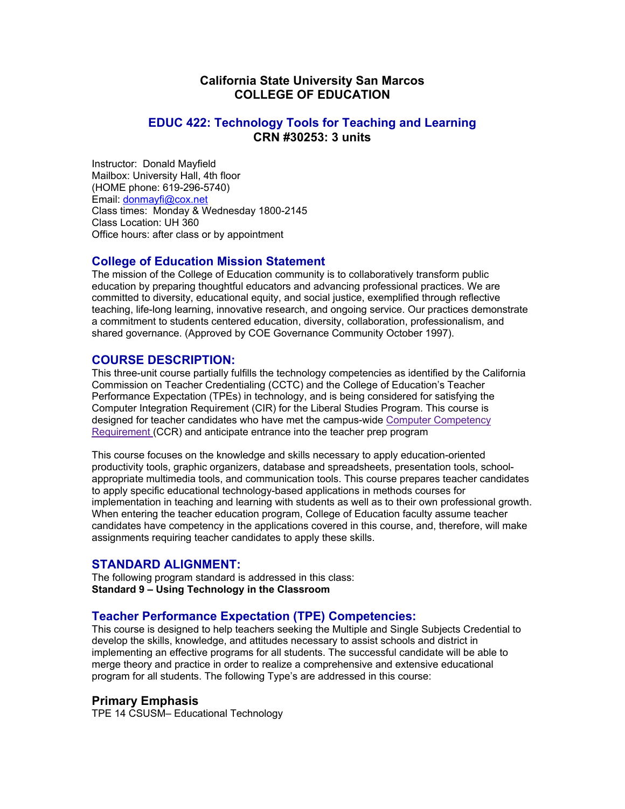# **California State University San Marcos COLLEGE OF EDUCATION**

### **EDUC 422: Technology Tools for Teaching and Learning CRN #30253: 3 units**

Instructor: Donald Mayfield Mailbox: University Hall, 4th floor (HOME phone: 619-296-5740) Email: donmayfi@cox.net Class times: Monday & Wednesday 1800-2145 Class Location: UH 360 Office hours: after class or by appointment

**College of Education Mission Statement**<br>The mission of the College of Education community is to collaboratively transform public education by preparing thoughtful educators and advancing professional practices. We are committed to diversity, educational equity, and social justice, exemplified through reflective teaching, life-long learning, innovative research, and ongoing service. Our practices demonstrate a commitment to students centered education, diversity, collaboration, professionalism, and shared governance. (Approved by COE Governance Community October 1997).

**COURSE DESCRIPTION:**<br>This three-unit course partially fulfills the technology competencies as identified by the California Commission on Teacher Credentialing (CCTC) and the College of Education's Teacher Performance Expectation (TPEs) in technology, and is being considered for satisfying the Computer Integration Requirement (CIR) for the Liberal Studies Program. This course is designed for teacher candidates who have met the campus-wide Computer Competency Requirement (CCR) and anticipate entrance into the teacher prep program

This course focuses on the knowledge and skills necessary to apply education-oriented productivity tools, graphic organizers, database and spreadsheets, presentation tools, schoolappropriate multimedia tools, and communication tools. This course prepares teacher candidates to apply specific educational technology-based applications in methods courses for implementation in teaching and learning with students as well as to their own professional growth. When entering the teacher education program, College of Education faculty assume teacher candidates have competency in the applications covered in this course, and, therefore, will make assignments requiring teacher candidates to apply these skills.

**STANDARD ALIGNMENT:**<br>The following program standard is addressed in this class: **Standard 9 – Using Technology in the Classroom**

# **Teacher Performance Expectation (TPE) Competencies:**<br>This course is designed to help teachers seeking the Multiple and Single Subjects Credential to

develop the skills, knowledge, and attitudes necessary to assist schools and district in implementing an effective programs for all students. The successful candidate will be able to merge theory and practice in order to realize a comprehensive and extensive educational program for all students. The following Type's are addressed in this course:

### **Primary Emphasis**

TPE 14 CSUSM– Educational Technology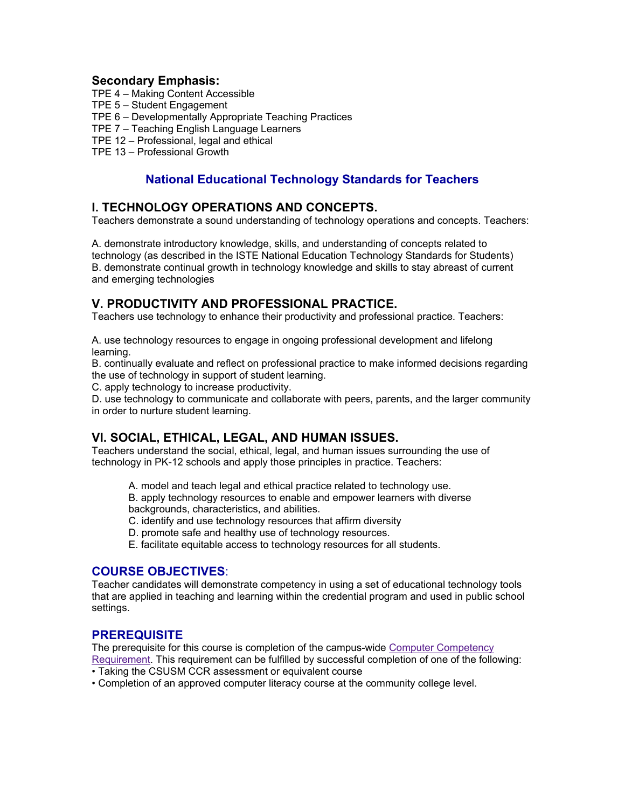### **Secondary Emphasis:**

- TPE 4 Making Content Accessible
- TPE 5 Student Engagement
- TPE 6 Developmentally Appropriate Teaching Practices
- TPE 7 Teaching English Language Learners
- TPE 12 Professional, legal and ethical
- TPE 13 Professional Growth

# **National Educational Technology Standards for Teachers**

# **I. TECHNOLOGY OPERATIONS AND CONCEPTS.**

Teachers demonstrate a sound understanding of technology operations and concepts. Teachers:

A. demonstrate introductory knowledge, skills, and understanding of concepts related to technology (as described in the ISTE National Education Technology Standards for Students) B. demonstrate continual growth in technology knowledge and skills to stay abreast of current and emerging technologies

# **V. PRODUCTIVITY AND PROFESSIONAL PRACTICE.**

Teachers use technology to enhance their productivity and professional practice. Teachers:

A. use technology resources to engage in ongoing professional development and lifelong learning.

B. continually evaluate and reflect on professional practice to make informed decisions regarding the use of technology in support of student learning.

C. apply technology to increase productivity.

D. use technology to communicate and collaborate with peers, parents, and the larger community in order to nurture student learning.

# **VI. SOCIAL, ETHICAL, LEGAL, AND HUMAN ISSUES.**

Teachers understand the social, ethical, legal, and human issues surrounding the use of technology in PK-12 schools and apply those principles in practice. Teachers:

- A. model and teach legal and ethical practice related to technology use.
- B. apply technology resources to enable and empower learners with diverse backgrounds, characteristics, and abilities.
- C. identify and use technology resources that affirm diversity
- D. promote safe and healthy use of technology resources.
- E. facilitate equitable access to technology resources for all students.

**COURSE OBJECTIVES:**<br>Teacher candidates will demonstrate competency in using a set of educational technology tools that are applied in teaching and learning within the credential program and used in public school settings.

**PREREQUISITE**<br>The prerequisite for this course is completion of the campus-wide Computer Competency

Requirement. This requirement can be fulfilled by successful completion of one of the following: • Taking the CSUSM CCR assessment or equivalent course

• Completion of an approved computer literacy course at the community college level.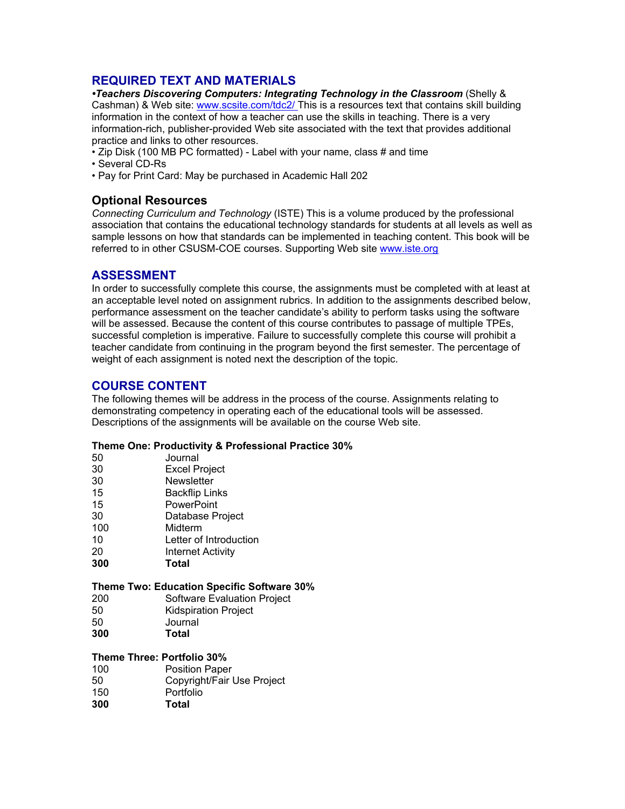# **REQUIRED TEXT AND MATERIALS**

*•Teachers Discovering Computers: Integrating Technology in the Classroom* (Shelly & Cashman) & Web site: www.scsite.com/tdc2/ This is a resources text that contains skill building information in the context of how a teacher can use the skills in teaching. There is a very information-rich, publisher-provided Web site associated with the text that provides additional practice and links to other resources.

- Zip Disk (100 MB PC formatted) Label with your name, class # and time
- Several CD-Rs
- Pay for Print Card: May be purchased in Academic Hall 202

### **Optional Resources**

*Connecting Curriculum and Technology* (ISTE) This is a volume produced by the professional association that contains the educational technology standards for students at all levels as well as sample lessons on how that standards can be implemented in teaching content. This book will be referred to in other CSUSM-COE courses. Supporting Web site www.iste.org

**ASSESSMENT**<br>In order to successfully complete this course, the assignments must be completed with at least at an acceptable level noted on assignment rubrics. In addition to the assignments described below, performance assessment on the teacher candidate's ability to perform tasks using the software will be assessed. Because the content of this course contributes to passage of multiple TPEs, successful completion is imperative. Failure to successfully complete this course will prohibit a teacher candidate from continuing in the program beyond the first semester. The percentage of weight of each assignment is noted next the description of the topic.

**COURSE CONTENT**<br>The following themes will be address in the process of the course. Assignments relating to demonstrating competency in operating each of the educational tools will be assessed. Descriptions of the assignments will be available on the course Web site.

### **Theme One: Productivity & Professional Practice 30%**

| 50  | Journal                  |
|-----|--------------------------|
| 30  | <b>Excel Project</b>     |
| 30  | Newsletter               |
| 15  | <b>Backflip Links</b>    |
| 15  | PowerPoint               |
| 30  | Database Project         |
| 100 | Midterm                  |
| 10  | Letter of Introduction   |
| 20  | <b>Internet Activity</b> |
| 300 | Total                    |
|     |                          |

### **Theme Two: Education Specific Software 30%**

- 200 Software Evaluation Project
- 50 Kidspiration Project
- 50 Journal
- **300 Total**

### **Theme Three: Portfolio 30%**

| 100 | <b>Position Paper</b>      |
|-----|----------------------------|
| 50  | Copyright/Fair Use Project |
| 150 | Portfolio                  |

**300 Total**